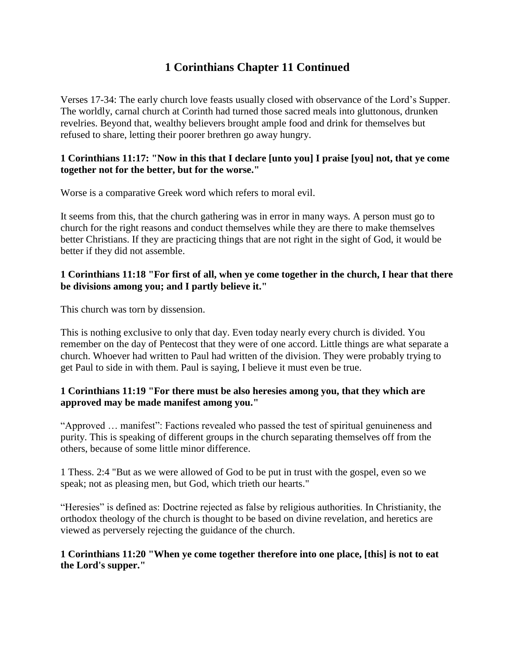# **1 Corinthians Chapter 11 Continued**

Verses 17-34: The early church love feasts usually closed with observance of the Lord's Supper. The worldly, carnal church at Corinth had turned those sacred meals into gluttonous, drunken revelries. Beyond that, wealthy believers brought ample food and drink for themselves but refused to share, letting their poorer brethren go away hungry.

#### **1 Corinthians 11:17: "Now in this that I declare [unto you] I praise [you] not, that ye come together not for the better, but for the worse."**

Worse is a comparative Greek word which refers to moral evil.

It seems from this, that the church gathering was in error in many ways. A person must go to church for the right reasons and conduct themselves while they are there to make themselves better Christians. If they are practicing things that are not right in the sight of God, it would be better if they did not assemble.

#### **1 Corinthians 11:18 "For first of all, when ye come together in the church, I hear that there be divisions among you; and I partly believe it."**

This church was torn by dissension.

This is nothing exclusive to only that day. Even today nearly every church is divided. You remember on the day of Pentecost that they were of one accord. Little things are what separate a church. Whoever had written to Paul had written of the division. They were probably trying to get Paul to side in with them. Paul is saying, I believe it must even be true.

#### **1 Corinthians 11:19 "For there must be also heresies among you, that they which are approved may be made manifest among you."**

"Approved … manifest": Factions revealed who passed the test of spiritual genuineness and purity. This is speaking of different groups in the church separating themselves off from the others, because of some little minor difference.

1 Thess. 2:4 "But as we were allowed of God to be put in trust with the gospel, even so we speak; not as pleasing men, but God, which trieth our hearts."

"Heresies" is defined as: Doctrine rejected as false by religious authorities. In Christianity, the orthodox theology of the church is thought to be based on divine revelation, and heretics are viewed as perversely rejecting the guidance of the church.

#### **1 Corinthians 11:20 "When ye come together therefore into one place, [this] is not to eat the Lord's supper."**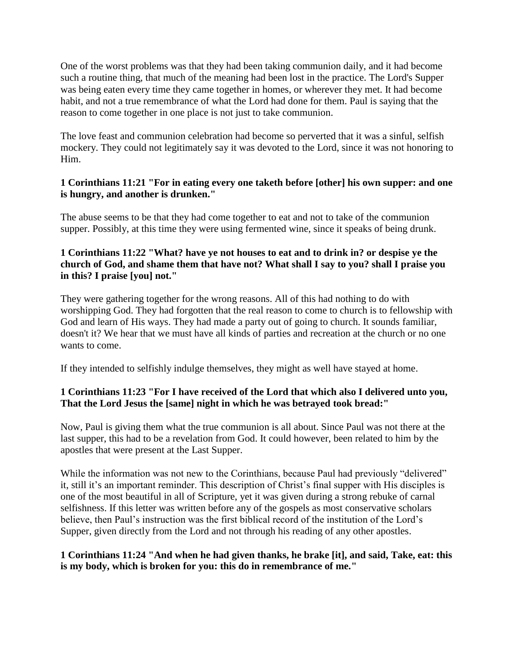One of the worst problems was that they had been taking communion daily, and it had become such a routine thing, that much of the meaning had been lost in the practice. The Lord's Supper was being eaten every time they came together in homes, or wherever they met. It had become habit, and not a true remembrance of what the Lord had done for them. Paul is saying that the reason to come together in one place is not just to take communion.

The love feast and communion celebration had become so perverted that it was a sinful, selfish mockery. They could not legitimately say it was devoted to the Lord, since it was not honoring to Him.

## **1 Corinthians 11:21 "For in eating every one taketh before [other] his own supper: and one is hungry, and another is drunken."**

The abuse seems to be that they had come together to eat and not to take of the communion supper. Possibly, at this time they were using fermented wine, since it speaks of being drunk.

## **1 Corinthians 11:22 "What? have ye not houses to eat and to drink in? or despise ye the church of God, and shame them that have not? What shall I say to you? shall I praise you in this? I praise [you] not."**

They were gathering together for the wrong reasons. All of this had nothing to do with worshipping God. They had forgotten that the real reason to come to church is to fellowship with God and learn of His ways. They had made a party out of going to church. It sounds familiar, doesn't it? We hear that we must have all kinds of parties and recreation at the church or no one wants to come.

If they intended to selfishly indulge themselves, they might as well have stayed at home.

# **1 Corinthians 11:23 "For I have received of the Lord that which also I delivered unto you, That the Lord Jesus the [same] night in which he was betrayed took bread:"**

Now, Paul is giving them what the true communion is all about. Since Paul was not there at the last supper, this had to be a revelation from God. It could however, been related to him by the apostles that were present at the Last Supper.

While the information was not new to the Corinthians, because Paul had previously "delivered" it, still it's an important reminder. This description of Christ's final supper with His disciples is one of the most beautiful in all of Scripture, yet it was given during a strong rebuke of carnal selfishness. If this letter was written before any of the gospels as most conservative scholars believe, then Paul's instruction was the first biblical record of the institution of the Lord's Supper, given directly from the Lord and not through his reading of any other apostles.

# **1 Corinthians 11:24 "And when he had given thanks, he brake [it], and said, Take, eat: this is my body, which is broken for you: this do in remembrance of me."**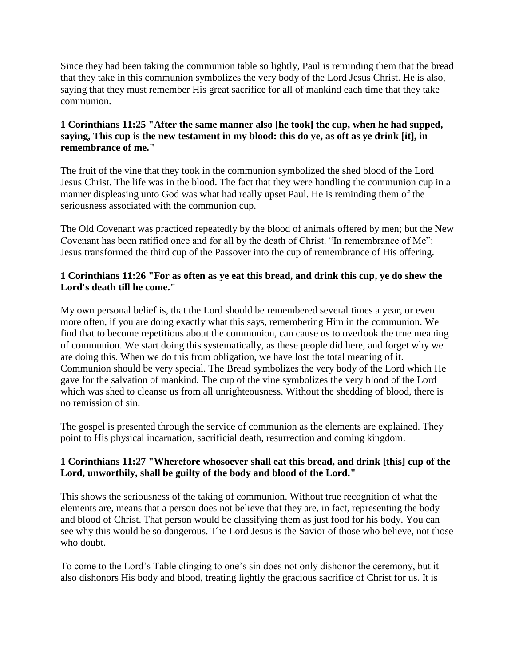Since they had been taking the communion table so lightly, Paul is reminding them that the bread that they take in this communion symbolizes the very body of the Lord Jesus Christ. He is also, saying that they must remember His great sacrifice for all of mankind each time that they take communion.

## **1 Corinthians 11:25 "After the same manner also [he took] the cup, when he had supped, saying, This cup is the new testament in my blood: this do ye, as oft as ye drink [it], in remembrance of me."**

The fruit of the vine that they took in the communion symbolized the shed blood of the Lord Jesus Christ. The life was in the blood. The fact that they were handling the communion cup in a manner displeasing unto God was what had really upset Paul. He is reminding them of the seriousness associated with the communion cup.

The Old Covenant was practiced repeatedly by the blood of animals offered by men; but the New Covenant has been ratified once and for all by the death of Christ. "In remembrance of Me": Jesus transformed the third cup of the Passover into the cup of remembrance of His offering.

## **1 Corinthians 11:26 "For as often as ye eat this bread, and drink this cup, ye do shew the Lord's death till he come."**

My own personal belief is, that the Lord should be remembered several times a year, or even more often, if you are doing exactly what this says, remembering Him in the communion. We find that to become repetitious about the communion, can cause us to overlook the true meaning of communion. We start doing this systematically, as these people did here, and forget why we are doing this. When we do this from obligation, we have lost the total meaning of it. Communion should be very special. The Bread symbolizes the very body of the Lord which He gave for the salvation of mankind. The cup of the vine symbolizes the very blood of the Lord which was shed to cleanse us from all unrighteousness. Without the shedding of blood, there is no remission of sin.

The gospel is presented through the service of communion as the elements are explained. They point to His physical incarnation, sacrificial death, resurrection and coming kingdom.

# **1 Corinthians 11:27 "Wherefore whosoever shall eat this bread, and drink [this] cup of the Lord, unworthily, shall be guilty of the body and blood of the Lord."**

This shows the seriousness of the taking of communion. Without true recognition of what the elements are, means that a person does not believe that they are, in fact, representing the body and blood of Christ. That person would be classifying them as just food for his body. You can see why this would be so dangerous. The Lord Jesus is the Savior of those who believe, not those who doubt.

To come to the Lord's Table clinging to one's sin does not only dishonor the ceremony, but it also dishonors His body and blood, treating lightly the gracious sacrifice of Christ for us. It is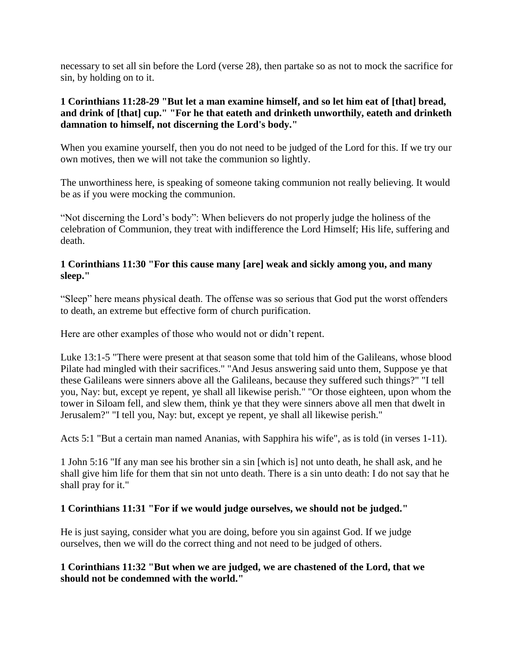necessary to set all sin before the Lord (verse 28), then partake so as not to mock the sacrifice for sin, by holding on to it.

## **1 Corinthians 11:28-29 "But let a man examine himself, and so let him eat of [that] bread, and drink of [that] cup." "For he that eateth and drinketh unworthily, eateth and drinketh damnation to himself, not discerning the Lord's body."**

When you examine yourself, then you do not need to be judged of the Lord for this. If we try our own motives, then we will not take the communion so lightly.

The unworthiness here, is speaking of someone taking communion not really believing. It would be as if you were mocking the communion.

"Not discerning the Lord's body": When believers do not properly judge the holiness of the celebration of Communion, they treat with indifference the Lord Himself; His life, suffering and death.

#### **1 Corinthians 11:30 "For this cause many [are] weak and sickly among you, and many sleep."**

"Sleep" here means physical death. The offense was so serious that God put the worst offenders to death, an extreme but effective form of church purification.

Here are other examples of those who would not or didn't repent.

Luke 13:1-5 "There were present at that season some that told him of the Galileans, whose blood Pilate had mingled with their sacrifices." "And Jesus answering said unto them, Suppose ye that these Galileans were sinners above all the Galileans, because they suffered such things?" "I tell you, Nay: but, except ye repent, ye shall all likewise perish." "Or those eighteen, upon whom the tower in Siloam fell, and slew them, think ye that they were sinners above all men that dwelt in Jerusalem?" "I tell you, Nay: but, except ye repent, ye shall all likewise perish."

Acts 5:1 "But a certain man named Ananias, with Sapphira his wife", as is told (in verses 1-11).

1 John 5:16 "If any man see his brother sin a sin [which is] not unto death, he shall ask, and he shall give him life for them that sin not unto death. There is a sin unto death: I do not say that he shall pray for it."

# **1 Corinthians 11:31 "For if we would judge ourselves, we should not be judged."**

He is just saying, consider what you are doing, before you sin against God. If we judge ourselves, then we will do the correct thing and not need to be judged of others.

#### **1 Corinthians 11:32 "But when we are judged, we are chastened of the Lord, that we should not be condemned with the world."**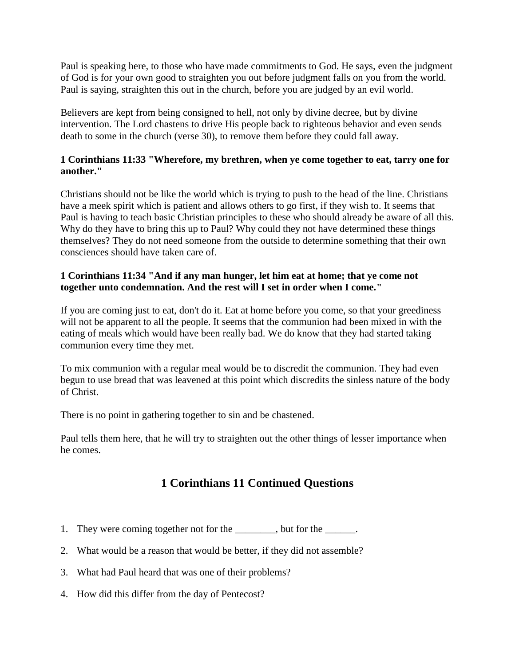Paul is speaking here, to those who have made commitments to God. He says, even the judgment of God is for your own good to straighten you out before judgment falls on you from the world. Paul is saying, straighten this out in the church, before you are judged by an evil world.

Believers are kept from being consigned to hell, not only by divine decree, but by divine intervention. The Lord chastens to drive His people back to righteous behavior and even sends death to some in the church (verse 30), to remove them before they could fall away.

## **1 Corinthians 11:33 "Wherefore, my brethren, when ye come together to eat, tarry one for another."**

Christians should not be like the world which is trying to push to the head of the line. Christians have a meek spirit which is patient and allows others to go first, if they wish to. It seems that Paul is having to teach basic Christian principles to these who should already be aware of all this. Why do they have to bring this up to Paul? Why could they not have determined these things themselves? They do not need someone from the outside to determine something that their own consciences should have taken care of.

## **1 Corinthians 11:34 "And if any man hunger, let him eat at home; that ye come not together unto condemnation. And the rest will I set in order when I come."**

If you are coming just to eat, don't do it. Eat at home before you come, so that your greediness will not be apparent to all the people. It seems that the communion had been mixed in with the eating of meals which would have been really bad. We do know that they had started taking communion every time they met.

To mix communion with a regular meal would be to discredit the communion. They had even begun to use bread that was leavened at this point which discredits the sinless nature of the body of Christ.

There is no point in gathering together to sin and be chastened.

Paul tells them here, that he will try to straighten out the other things of lesser importance when he comes.

# **1 Corinthians 11 Continued Questions**

- 1. They were coming together not for the  $\qquad \qquad$ , but for the  $\qquad \qquad$ .
- 2. What would be a reason that would be better, if they did not assemble?
- 3. What had Paul heard that was one of their problems?
- 4. How did this differ from the day of Pentecost?